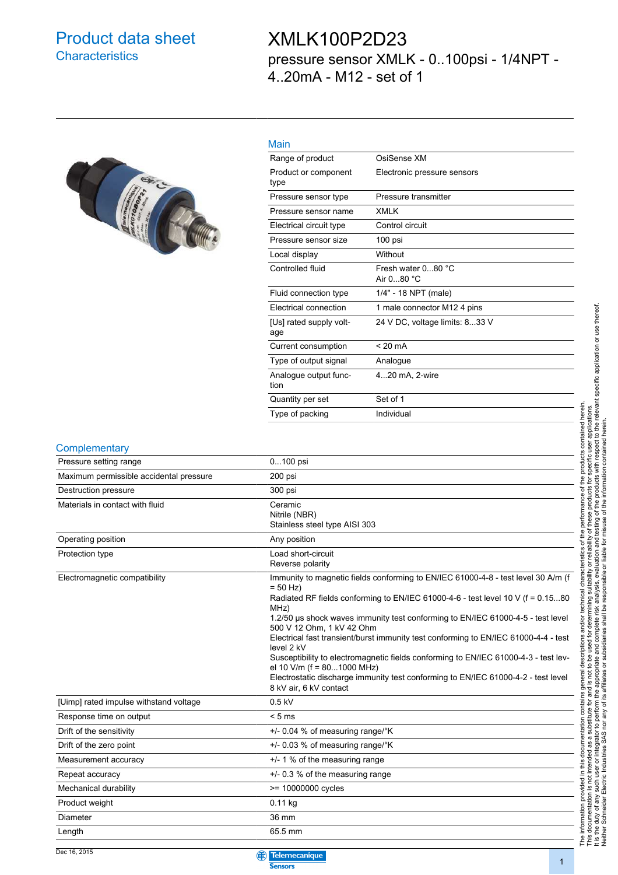#### Product data sheet **Characteristics**

### XMLK100P2D23 pressure sensor XMLK - 0..100psi - 1/4NPT - 4..20mA - M12 - set of 1



| . . |  |
|-----|--|
|     |  |

| .                              |                                  |
|--------------------------------|----------------------------------|
| Range of product               | OsiSense XM                      |
| Product or component<br>type   | Electronic pressure sensors      |
| Pressure sensor type           | Pressure transmitter             |
| Pressure sensor name           | <b>XMLK</b>                      |
| Electrical circuit type        | Control circuit                  |
| Pressure sensor size           | 100 psi                          |
| Local display                  | Without                          |
| Controlled fluid               | Fresh water 080 °C<br>Air 080 °C |
| Fluid connection type          | 1/4" - 18 NPT (male)             |
| Electrical connection          | 1 male connector M12 4 pins      |
| [Us] rated supply volt-<br>age | 24 V DC, voltage limits: 833 V   |
| Current consumption            | $< 20 \text{ mA}$                |
| Type of output signal          | Analogue                         |
| Analogue output func-<br>tion  | 420 mA, 2-wire                   |
| Quantity per set               | Set of 1                         |
| Type of packing                | Individual                       |
|                                |                                  |

| Complementary                           |                                                                                                                                                                                                                                                                                                                                                                                                                                                                                                                                                                                                                                                     |
|-----------------------------------------|-----------------------------------------------------------------------------------------------------------------------------------------------------------------------------------------------------------------------------------------------------------------------------------------------------------------------------------------------------------------------------------------------------------------------------------------------------------------------------------------------------------------------------------------------------------------------------------------------------------------------------------------------------|
| Pressure setting range                  | 0100 psi                                                                                                                                                                                                                                                                                                                                                                                                                                                                                                                                                                                                                                            |
| Maximum permissible accidental pressure | 200 psi                                                                                                                                                                                                                                                                                                                                                                                                                                                                                                                                                                                                                                             |
| Destruction pressure                    | 300 psi                                                                                                                                                                                                                                                                                                                                                                                                                                                                                                                                                                                                                                             |
| Materials in contact with fluid         | Ceramic<br>Nitrile (NBR)<br>Stainless steel type AISI 303                                                                                                                                                                                                                                                                                                                                                                                                                                                                                                                                                                                           |
| Operating position                      | Any position                                                                                                                                                                                                                                                                                                                                                                                                                                                                                                                                                                                                                                        |
| Protection type                         | Load short-circuit<br>Reverse polarity                                                                                                                                                                                                                                                                                                                                                                                                                                                                                                                                                                                                              |
| Electromagnetic compatibility           | Immunity to magnetic fields conforming to EN/IEC 61000-4-8 - test level 30 A/m (f<br>$= 50$ Hz)<br>Radiated RF fields conforming to EN/IEC 61000-4-6 - test level 10 V (f = 0.1580<br>MHz)<br>1.2/50 µs shock waves immunity test conforming to EN/IEC 61000-4-5 - test level<br>500 V 12 Ohm, 1 kV 42 Ohm<br>Electrical fast transient/burst immunity test conforming to EN/IEC 61000-4-4 - test<br>level 2 kV<br>Susceptibility to electromagnetic fields conforming to EN/IEC 61000-4-3 - test lev-<br>el 10 V/m (f = 801000 MHz)<br>Electrostatic discharge immunity test conforming to EN/IEC 61000-4-2 - test level<br>8 kV air, 6 kV contact |
| [Uimp] rated impulse withstand voltage  | $0.5$ kV                                                                                                                                                                                                                                                                                                                                                                                                                                                                                                                                                                                                                                            |
| Response time on output                 | $< 5 \text{ ms}$                                                                                                                                                                                                                                                                                                                                                                                                                                                                                                                                                                                                                                    |
| Drift of the sensitivity                | +/- 0.04 % of measuring range/°K                                                                                                                                                                                                                                                                                                                                                                                                                                                                                                                                                                                                                    |
| Drift of the zero point                 | +/- 0.03 % of measuring range/°K                                                                                                                                                                                                                                                                                                                                                                                                                                                                                                                                                                                                                    |
| Measurement accuracy                    | $+/- 1$ % of the measuring range                                                                                                                                                                                                                                                                                                                                                                                                                                                                                                                                                                                                                    |
| Repeat accuracy                         | +/- 0.3 % of the measuring range                                                                                                                                                                                                                                                                                                                                                                                                                                                                                                                                                                                                                    |
| Mechanical durability                   | >= 10000000 cycles                                                                                                                                                                                                                                                                                                                                                                                                                                                                                                                                                                                                                                  |
| Product weight                          | 0.11 kg                                                                                                                                                                                                                                                                                                                                                                                                                                                                                                                                                                                                                                             |
| Diameter                                | 36 mm                                                                                                                                                                                                                                                                                                                                                                                                                                                                                                                                                                                                                                               |
| Length                                  | 65.5 mm                                                                                                                                                                                                                                                                                                                                                                                                                                                                                                                                                                                                                                             |



The information provided in this documentation contains general descriptions and/or technical characteristics of the performance of the products contained herein.<br>This documentation is not intended as a substitute for and It is the duty of any such user or integrator to perform the appropriate and complete risk analysis, evaluation and testing of the products with respect to the relevant specific application or use thereof. The information provided in this documentation contains general descriptions and/or technical characteristics of the performance of the products contained herein. This documentation is not intended as a substitute for and is not to be used for determining suitability or reliability of these products for specific user applications. Neither Schneider Electric Industries SAS nor any of its affiliates or subsidiaries shall be responsible or liable for misuse of the information contained herein.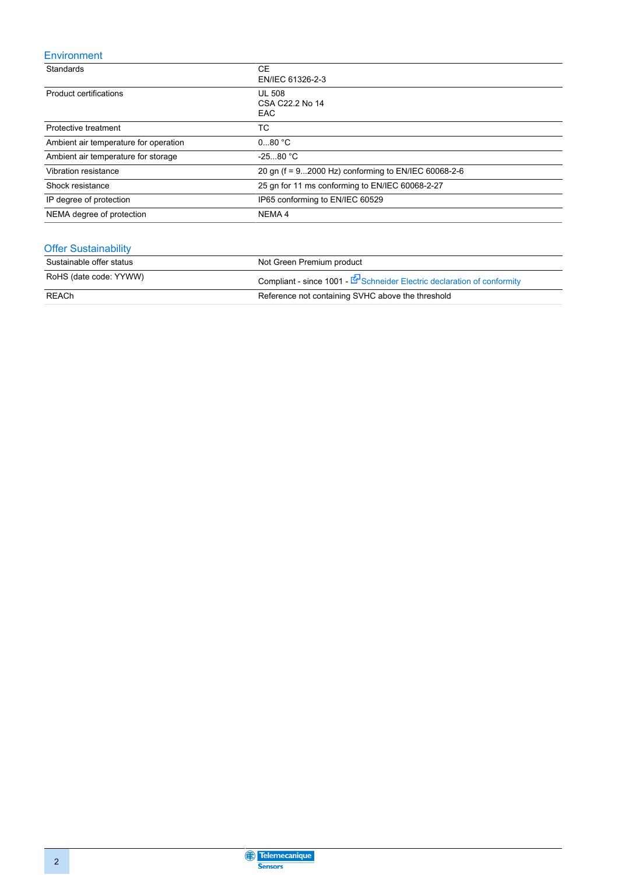#### Environment

| Standards                             | <b>CE</b><br>EN/IEC 61326-2-3                       |
|---------------------------------------|-----------------------------------------------------|
| Product certifications                | <b>UL 508</b><br>CSA C22.2 No 14<br><b>EAC</b>      |
| Protective treatment                  | TC                                                  |
| Ambient air temperature for operation | 080 °C                                              |
| Ambient air temperature for storage   | $-2580 °C$                                          |
| Vibration resistance                  | 20 gn (f = 92000 Hz) conforming to EN/IEC 60068-2-6 |
| Shock resistance                      | 25 gn for 11 ms conforming to EN/IEC 60068-2-27     |
| IP degree of protection               | IP65 conforming to EN/IEC 60529                     |
| NEMA degree of protection             | NEMA 4                                              |

#### Offer Sustainability

| Sustainable offer status | Not Green Premium product                                                          |
|--------------------------|------------------------------------------------------------------------------------|
| RoHS (date code: YYWW)   | Compliant - since 1001 - $\mathbb{F}$ Schneider Electric declaration of conformity |
| REACh                    | Reference not containing SVHC above the threshold                                  |

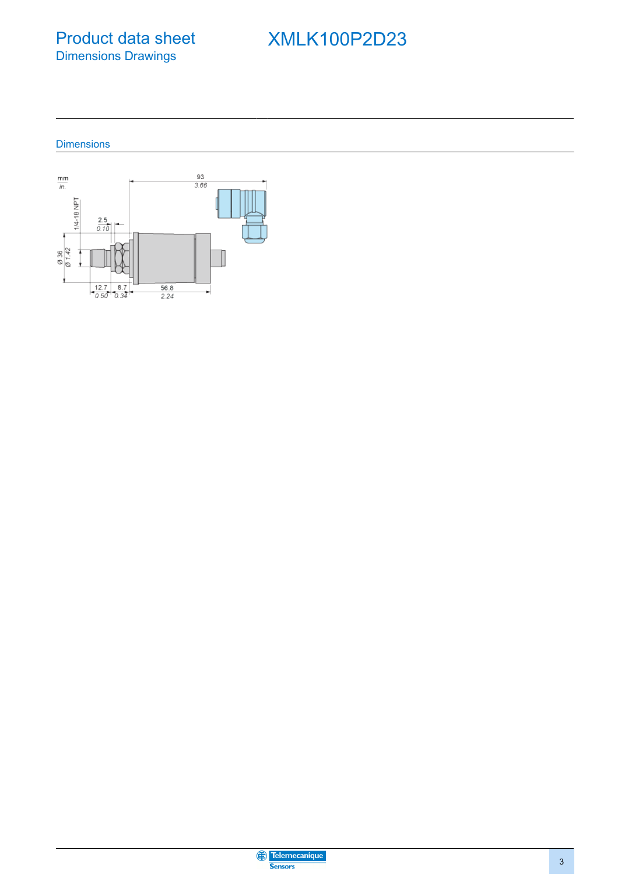Product data sheet Dimensions Drawings

# XMLK100P2D23

**Dimensions** 



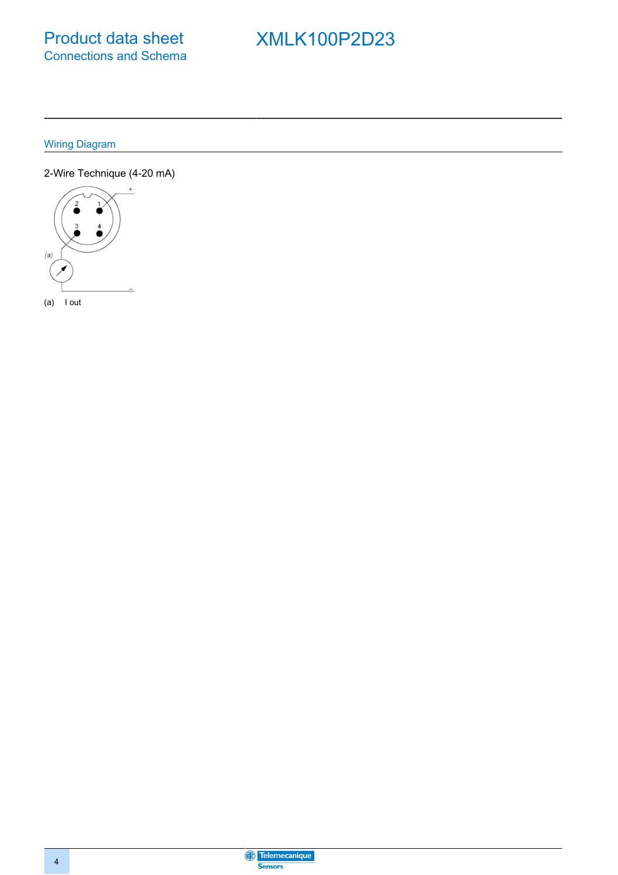# **XMLK100P2D23**

**Wiring Diagram** 

2-Wire Technique (4-20 mA)